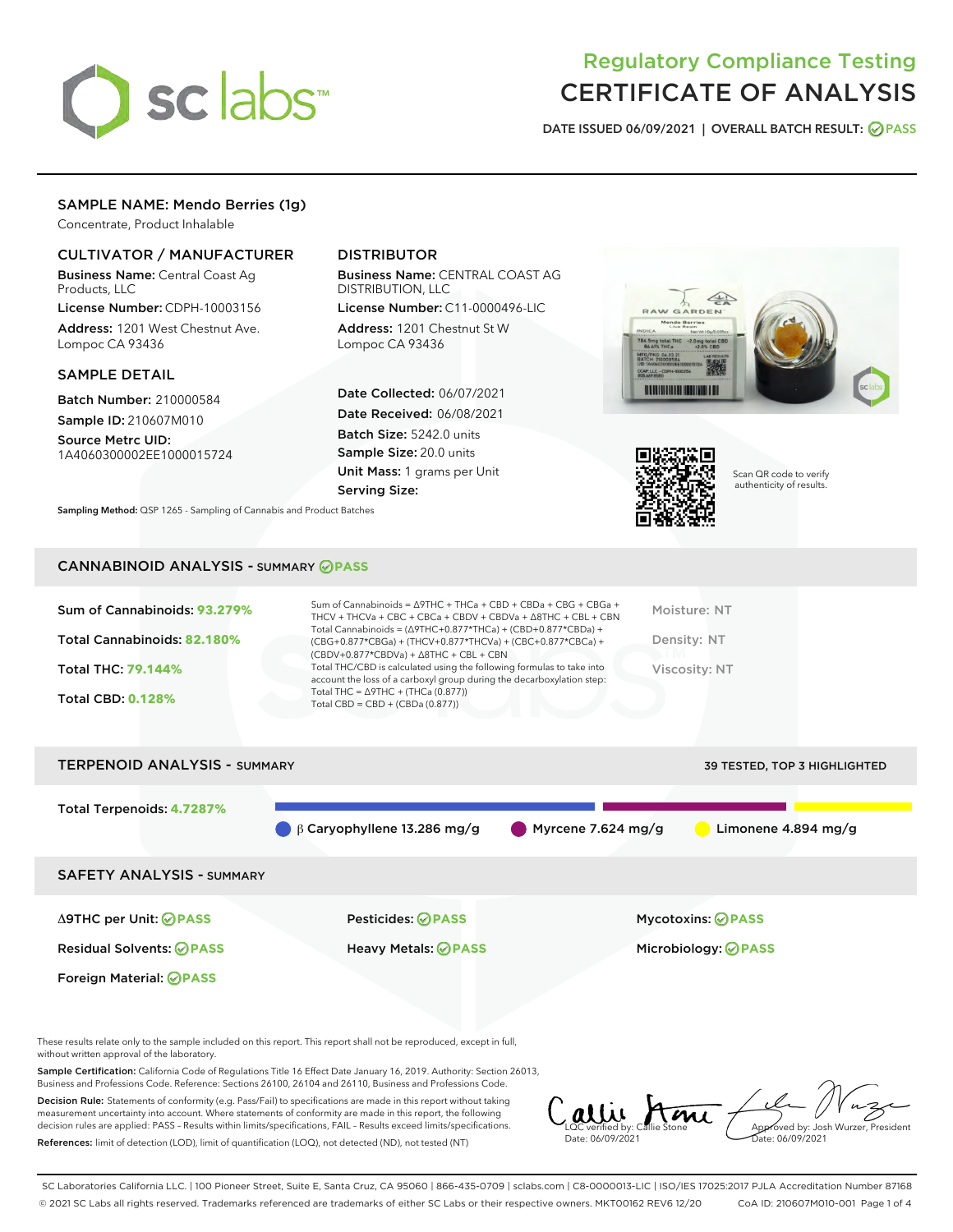

# Regulatory Compliance Testing CERTIFICATE OF ANALYSIS

DATE ISSUED 06/09/2021 | OVERALL BATCH RESULT: @ PASS

# SAMPLE NAME: Mendo Berries (1g)

Concentrate, Product Inhalable

## CULTIVATOR / MANUFACTURER

Business Name: Central Coast Ag Products, LLC

License Number: CDPH-10003156 Address: 1201 West Chestnut Ave. Lompoc CA 93436

### SAMPLE DETAIL

Batch Number: 210000584 Sample ID: 210607M010

Source Metrc UID: 1A4060300002EE1000015724

# DISTRIBUTOR

Business Name: CENTRAL COAST AG DISTRIBUTION, LLC

License Number: C11-0000496-LIC Address: 1201 Chestnut St W Lompoc CA 93436

Date Collected: 06/07/2021 Date Received: 06/08/2021 Batch Size: 5242.0 units Sample Size: 20.0 units Unit Mass: 1 grams per Unit Serving Size:





Scan QR code to verify authenticity of results.

Sampling Method: QSP 1265 - Sampling of Cannabis and Product Batches

## CANNABINOID ANALYSIS - SUMMARY **PASS**

# TERPENOID ANALYSIS - SUMMARY 39 TESTED, TOP 3 HIGHLIGHTED Total Terpenoids: **4.7287%** β Caryophyllene 13.286 mg/g Myrcene 7.624 mg/g Limonene 4.894 mg/g SAFETY ANALYSIS - SUMMARY Δ9THC per Unit: **PASS** Pesticides: **PASS** Mycotoxins: **PASS** Residual Solvents: **PASS** Heavy Metals: **PASS** Microbiology: **PASS** Foreign Material: **PASS**

These results relate only to the sample included on this report. This report shall not be reproduced, except in full, without written approval of the laboratory.

Sample Certification: California Code of Regulations Title 16 Effect Date January 16, 2019. Authority: Section 26013, Business and Professions Code. Reference: Sections 26100, 26104 and 26110, Business and Professions Code.

Decision Rule: Statements of conformity (e.g. Pass/Fail) to specifications are made in this report without taking measurement uncertainty into account. Where statements of conformity are made in this report, the following decision rules are applied: PASS – Results within limits/specifications, FAIL – Results exceed limits/specifications. References: limit of detection (LOD), limit of quantification (LOQ), not detected (ND), not tested (NT)

allie Stone Date: 06/09/2021 Approved by: Josh Wurzer, President Date: 06/09/2021

SC Laboratories California LLC. | 100 Pioneer Street, Suite E, Santa Cruz, CA 95060 | 866-435-0709 | sclabs.com | C8-0000013-LIC | ISO/IES 17025:2017 PJLA Accreditation Number 87168 © 2021 SC Labs all rights reserved. Trademarks referenced are trademarks of either SC Labs or their respective owners. MKT00162 REV6 12/20 CoA ID: 210607M010-001 Page 1 of 4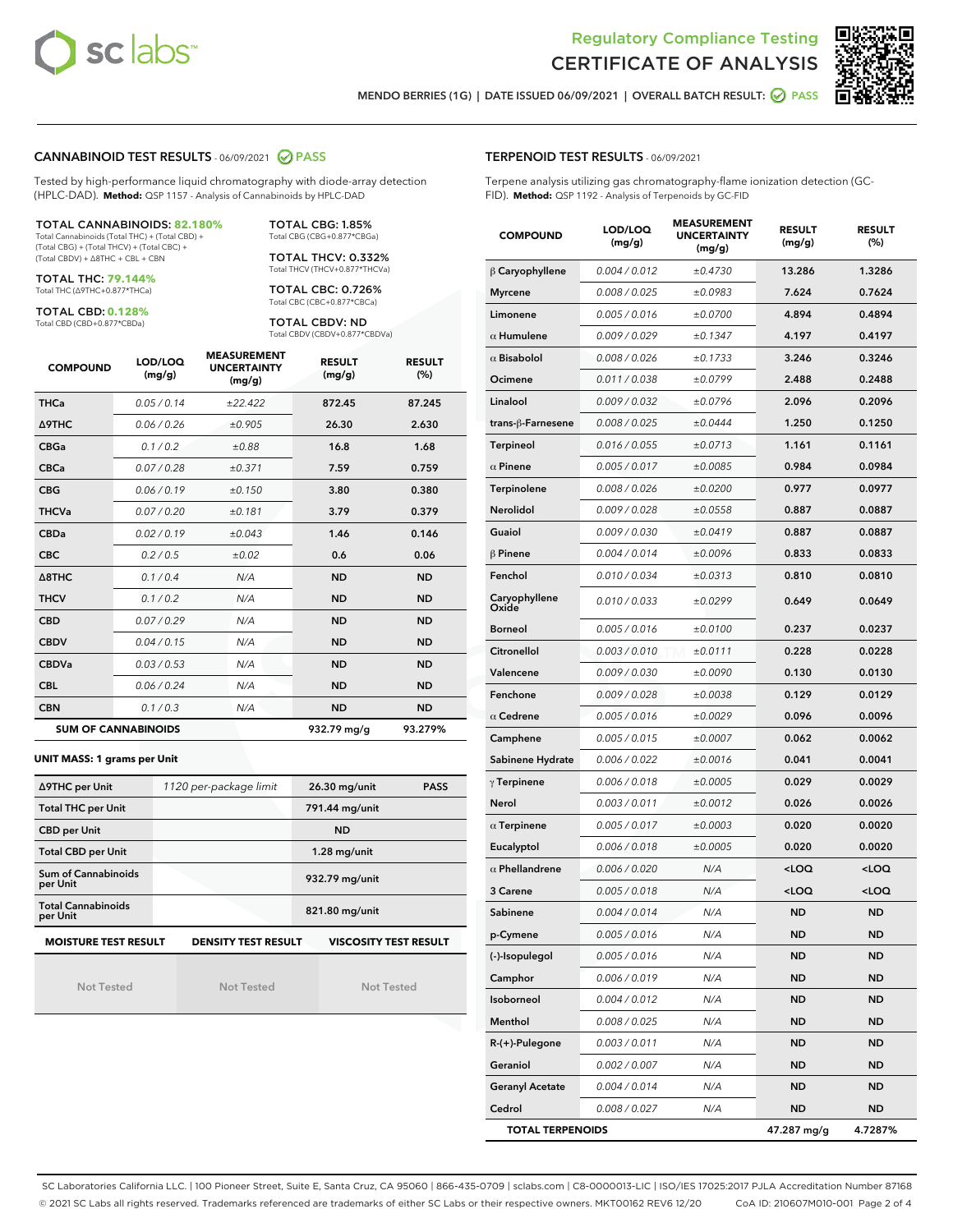



MENDO BERRIES (1G) | DATE ISSUED 06/09/2021 | OVERALL BATCH RESULT: **⊘** PASS

### CANNABINOID TEST RESULTS - 06/09/2021 2 PASS

Tested by high-performance liquid chromatography with diode-array detection (HPLC-DAD). **Method:** QSP 1157 - Analysis of Cannabinoids by HPLC-DAD

TOTAL CANNABINOIDS: **82.180%** Total Cannabinoids (Total THC) + (Total CBD) +

(Total CBG) + (Total THCV) + (Total CBC) + (Total CBDV) + ∆8THC + CBL + CBN

TOTAL THC: **79.144%** Total THC (∆9THC+0.877\*THCa)

TOTAL CBD: **0.128%**

Total CBD (CBD+0.877\*CBDa)

TOTAL CBG: 1.85% Total CBG (CBG+0.877\*CBGa)

TOTAL THCV: 0.332% Total THCV (THCV+0.877\*THCVa)

TOTAL CBC: 0.726% Total CBC (CBC+0.877\*CBCa)

TOTAL CBDV: ND Total CBDV (CBDV+0.877\*CBDVa)

| <b>COMPOUND</b>  | LOD/LOQ<br>(mg/g)          | <b>MEASUREMENT</b><br><b>UNCERTAINTY</b><br>(mg/g) | <b>RESULT</b><br>(mg/g) | <b>RESULT</b><br>(%) |
|------------------|----------------------------|----------------------------------------------------|-------------------------|----------------------|
| <b>THCa</b>      | 0.05/0.14                  | ±22.422                                            | 872.45                  | 87.245               |
| <b>A9THC</b>     | 0.06 / 0.26                | ±0.905                                             | 26.30                   | 2.630                |
| <b>CBGa</b>      | 0.1 / 0.2                  | ±0.88                                              | 16.8                    | 1.68                 |
| <b>CBCa</b>      | 0.07/0.28                  | ±0.371                                             | 7.59                    | 0.759                |
| <b>CBG</b>       | 0.06/0.19                  | ±0.150                                             | 3.80                    | 0.380                |
| <b>THCVa</b>     | 0.07/0.20                  | ±0.181                                             | 3.79                    | 0.379                |
| <b>CBDa</b>      | 0.02/0.19                  | ±0.043                                             | 1.46                    | 0.146                |
| <b>CBC</b>       | 0.2 / 0.5                  | ±0.02                                              | 0.6                     | 0.06                 |
| $\triangle$ 8THC | 0.1/0.4                    | N/A                                                | <b>ND</b>               | <b>ND</b>            |
| <b>THCV</b>      | 0.1/0.2                    | N/A                                                | <b>ND</b>               | <b>ND</b>            |
| <b>CBD</b>       | 0.07/0.29                  | N/A                                                | <b>ND</b>               | <b>ND</b>            |
| <b>CBDV</b>      | 0.04 / 0.15                | N/A                                                | <b>ND</b>               | <b>ND</b>            |
| <b>CBDVa</b>     | 0.03/0.53                  | N/A                                                | <b>ND</b>               | <b>ND</b>            |
| <b>CBL</b>       | 0.06 / 0.24                | N/A                                                | <b>ND</b>               | <b>ND</b>            |
| <b>CBN</b>       | 0.1/0.3                    | N/A                                                | <b>ND</b>               | <b>ND</b>            |
|                  | <b>SUM OF CANNABINOIDS</b> |                                                    | 932.79 mg/g             | 93.279%              |

#### **UNIT MASS: 1 grams per Unit**

| ∆9THC per Unit                        | 1120 per-package limit     | 26.30 mg/unit<br><b>PASS</b> |
|---------------------------------------|----------------------------|------------------------------|
| <b>Total THC per Unit</b>             |                            | 791.44 mg/unit               |
| <b>CBD per Unit</b>                   |                            | <b>ND</b>                    |
| <b>Total CBD per Unit</b>             |                            | $1.28$ mg/unit               |
| Sum of Cannabinoids<br>per Unit       |                            | 932.79 mg/unit               |
| <b>Total Cannabinoids</b><br>per Unit |                            | 821.80 mg/unit               |
| <b>MOISTURE TEST RESULT</b>           | <b>DENSITY TEST RESULT</b> | <b>VISCOSITY TEST RESULT</b> |

Not Tested

Not Tested

Not Tested

#### TERPENOID TEST RESULTS - 06/09/2021

Terpene analysis utilizing gas chromatography-flame ionization detection (GC-FID). **Method:** QSP 1192 - Analysis of Terpenoids by GC-FID

| <b>COMPOUND</b>         | LOD/LOQ<br>(mg/g) | <b>MEASUREMENT</b><br><b>UNCERTAINTY</b><br>(mg/g) | <b>RESULT</b><br>(mg/g)                         | <b>RESULT</b><br>(%) |
|-------------------------|-------------------|----------------------------------------------------|-------------------------------------------------|----------------------|
| $\beta$ Caryophyllene   | 0.004 / 0.012     | ±0.4730                                            | 13.286                                          | 1.3286               |
| <b>Myrcene</b>          | 0.008 / 0.025     | ±0.0983                                            | 7.624                                           | 0.7624               |
| Limonene                | 0.005 / 0.016     | ±0.0700                                            | 4.894                                           | 0.4894               |
| $\alpha$ Humulene       | 0.009 / 0.029     | ±0.1347                                            | 4.197                                           | 0.4197               |
| $\alpha$ Bisabolol      | 0.008 / 0.026     | ±0.1733                                            | 3.246                                           | 0.3246               |
| Ocimene                 | 0.011/0.038       | ±0.0799                                            | 2.488                                           | 0.2488               |
| Linalool                | 0.009 / 0.032     | ±0.0796                                            | 2.096                                           | 0.2096               |
| trans-ß-Farnesene       | 0.008 / 0.025     | ±0.0444                                            | 1.250                                           | 0.1250               |
| Terpineol               | 0.016 / 0.055     | ±0.0713                                            | 1.161                                           | 0.1161               |
| $\alpha$ Pinene         | 0.005 / 0.017     | ±0.0085                                            | 0.984                                           | 0.0984               |
| Terpinolene             | 0.008 / 0.026     | ±0.0200                                            | 0.977                                           | 0.0977               |
| Nerolidol               | 0.009 / 0.028     | ±0.0558                                            | 0.887                                           | 0.0887               |
| Guaiol                  | 0.009 / 0.030     | ±0.0419                                            | 0.887                                           | 0.0887               |
| $\beta$ Pinene          | 0.004 / 0.014     | ±0.0096                                            | 0.833                                           | 0.0833               |
| Fenchol                 | 0.010 / 0.034     | ±0.0313                                            | 0.810                                           | 0.0810               |
| Caryophyllene<br>Oxide  | 0.010 / 0.033     | ±0.0299                                            | 0.649                                           | 0.0649               |
| <b>Borneol</b>          | 0.005 / 0.016     | ±0.0100                                            | 0.237                                           | 0.0237               |
| Citronellol             | 0.003 / 0.010     | ±0.0111                                            | 0.228                                           | 0.0228               |
| Valencene               | 0.009 / 0.030     | ±0.0090                                            | 0.130                                           | 0.0130               |
| Fenchone                | 0.009 / 0.028     | ±0.0038                                            | 0.129                                           | 0.0129               |
| $\alpha$ Cedrene        | 0.005 / 0.016     | ±0.0029                                            | 0.096                                           | 0.0096               |
| Camphene                | 0.005 / 0.015     | ±0.0007                                            | 0.062                                           | 0.0062               |
| Sabinene Hydrate        | 0.006 / 0.022     | ±0.0016                                            | 0.041                                           | 0.0041               |
| $\gamma$ Terpinene      | 0.006 / 0.018     | ±0.0005                                            | 0.029                                           | 0.0029               |
| Nerol                   | 0.003 / 0.011     | ±0.0012                                            | 0.026                                           | 0.0026               |
| $\alpha$ Terpinene      | 0.005 / 0.017     | ±0.0003                                            | 0.020                                           | 0.0020               |
| Eucalyptol              | 0.006 / 0.018     | ±0.0005                                            | 0.020                                           | 0.0020               |
| $\alpha$ Phellandrene   | 0.006 / 0.020     | N/A                                                | <loq< th=""><th><loq< th=""></loq<></th></loq<> | <loq< th=""></loq<>  |
| 3 Carene                | 0.005 / 0.018     | N/A                                                | <loq< th=""><th><loq< th=""></loq<></th></loq<> | <loq< th=""></loq<>  |
| Sabinene                | 0.004 / 0.014     | N/A                                                | <b>ND</b>                                       | ND                   |
| p-Cymene                | 0.005 / 0.016     | N/A                                                | ND                                              | ND                   |
| (-)-Isopulegol          | 0.005 / 0.016     | N/A                                                | ND                                              | ND                   |
| Camphor                 | 0.006 / 0.019     | N/A                                                | ND                                              | ND                   |
| Isoborneol              | 0.004 / 0.012     | N/A                                                | ND                                              | ND                   |
| Menthol                 | 0.008 / 0.025     | N/A                                                | ND                                              | ND                   |
| $R-(+)$ -Pulegone       | 0.003 / 0.011     | N/A                                                | <b>ND</b>                                       | ND                   |
| Geraniol                | 0.002 / 0.007     | N/A                                                | ND                                              | ND                   |
| <b>Geranyl Acetate</b>  | 0.004 / 0.014     | N/A                                                | ND                                              | ND                   |
| Cedrol                  | 0.008 / 0.027     | N/A                                                | ND                                              | ND                   |
| <b>TOTAL TERPENOIDS</b> |                   |                                                    | 47.287 mg/g                                     | 4.7287%              |

SC Laboratories California LLC. | 100 Pioneer Street, Suite E, Santa Cruz, CA 95060 | 866-435-0709 | sclabs.com | C8-0000013-LIC | ISO/IES 17025:2017 PJLA Accreditation Number 87168 © 2021 SC Labs all rights reserved. Trademarks referenced are trademarks of either SC Labs or their respective owners. MKT00162 REV6 12/20 CoA ID: 210607M010-001 Page 2 of 4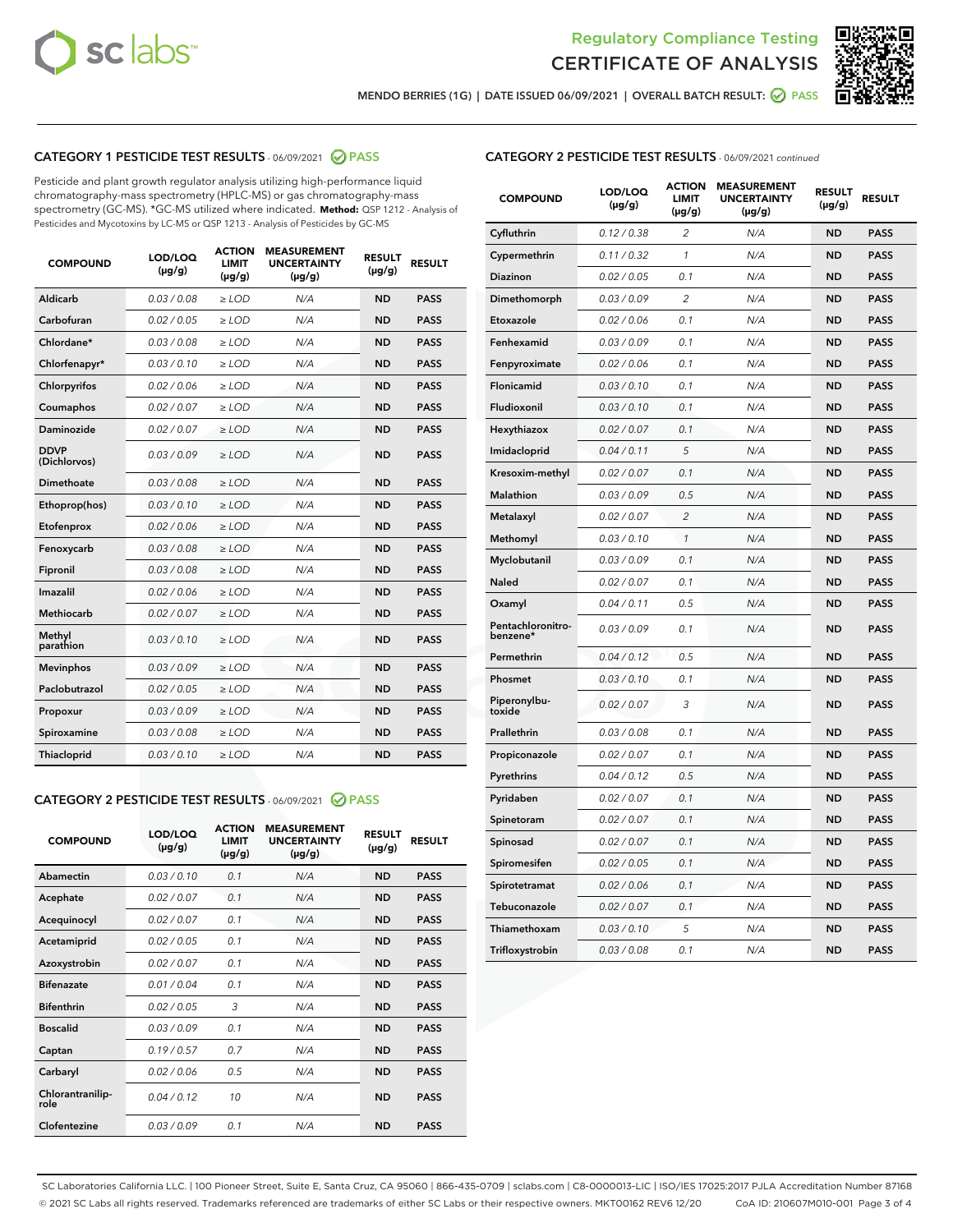



MENDO BERRIES (1G) | DATE ISSUED 06/09/2021 | OVERALL BATCH RESULT: ● PASS

# CATEGORY 1 PESTICIDE TEST RESULTS - 06/09/2021 2 PASS

Pesticide and plant growth regulator analysis utilizing high-performance liquid chromatography-mass spectrometry (HPLC-MS) or gas chromatography-mass spectrometry (GC-MS). \*GC-MS utilized where indicated. **Method:** QSP 1212 - Analysis of Pesticides and Mycotoxins by LC-MS or QSP 1213 - Analysis of Pesticides by GC-MS

| <b>COMPOUND</b>             | LOD/LOQ<br>$(\mu g/g)$ | <b>ACTION</b><br>LIMIT<br>$(\mu g/g)$ | <b>MEASUREMENT</b><br><b>UNCERTAINTY</b><br>$(\mu g/g)$ | <b>RESULT</b><br>$(\mu g/g)$ | <b>RESULT</b> |
|-----------------------------|------------------------|---------------------------------------|---------------------------------------------------------|------------------------------|---------------|
| Aldicarb                    | 0.03 / 0.08            | $\geq$ LOD                            | N/A                                                     | <b>ND</b>                    | <b>PASS</b>   |
| Carbofuran                  | 0.02 / 0.05            | $>$ LOD                               | N/A                                                     | <b>ND</b>                    | <b>PASS</b>   |
| Chlordane*                  | 0.03 / 0.08            | ≥ LOD                                 | N/A                                                     | <b>ND</b>                    | <b>PASS</b>   |
| Chlorfenapyr*               | 0.03/0.10              | ≥ LOD                                 | N/A                                                     | <b>ND</b>                    | <b>PASS</b>   |
| Chlorpyrifos                | 0.02 / 0.06            | $\geq$ LOD                            | N/A                                                     | <b>ND</b>                    | <b>PASS</b>   |
| Coumaphos                   | 0.02 / 0.07            | ≥ LOD                                 | N/A                                                     | <b>ND</b>                    | <b>PASS</b>   |
| Daminozide                  | 0.02 / 0.07            | $\geq$ LOD                            | N/A                                                     | <b>ND</b>                    | <b>PASS</b>   |
| <b>DDVP</b><br>(Dichlorvos) | 0.03/0.09              | $\geq$ LOD                            | N/A                                                     | <b>ND</b>                    | <b>PASS</b>   |
| Dimethoate                  | 0.03 / 0.08            | $\ge$ LOD                             | N/A                                                     | <b>ND</b>                    | <b>PASS</b>   |
| Ethoprop(hos)               | 0.03/0.10              | $>$ LOD                               | N/A                                                     | <b>ND</b>                    | <b>PASS</b>   |
| Etofenprox                  | 0.02 / 0.06            | $>$ LOD                               | N/A                                                     | <b>ND</b>                    | <b>PASS</b>   |
| Fenoxycarb                  | 0.03 / 0.08            | $\geq$ LOD                            | N/A                                                     | <b>ND</b>                    | <b>PASS</b>   |
| Fipronil                    | 0.03/0.08              | $\geq$ LOD                            | N/A                                                     | <b>ND</b>                    | <b>PASS</b>   |
| Imazalil                    | 0.02 / 0.06            | $\geq$ LOD                            | N/A                                                     | <b>ND</b>                    | <b>PASS</b>   |
| <b>Methiocarb</b>           | 0.02 / 0.07            | ≥ LOD                                 | N/A                                                     | <b>ND</b>                    | <b>PASS</b>   |
| Methyl<br>parathion         | 0.03/0.10              | $\geq$ LOD                            | N/A                                                     | <b>ND</b>                    | <b>PASS</b>   |
| <b>Mevinphos</b>            | 0.03/0.09              | $\geq$ LOD                            | N/A                                                     | <b>ND</b>                    | <b>PASS</b>   |
| Paclobutrazol               | 0.02 / 0.05            | $\geq$ LOD                            | N/A                                                     | <b>ND</b>                    | <b>PASS</b>   |
| Propoxur                    | 0.03/0.09              | ≥ LOD                                 | N/A                                                     | <b>ND</b>                    | <b>PASS</b>   |
| Spiroxamine                 | 0.03 / 0.08            | $\ge$ LOD                             | N/A                                                     | <b>ND</b>                    | <b>PASS</b>   |
| <b>Thiacloprid</b>          | 0.03/0.10              | $\geq$ LOD                            | N/A                                                     | <b>ND</b>                    | <b>PASS</b>   |
|                             |                        |                                       |                                                         |                              |               |

# CATEGORY 2 PESTICIDE TEST RESULTS - 06/09/2021 @ PASS

| <b>COMPOUND</b>          | LOD/LOO<br>$(\mu g/g)$ | <b>ACTION</b><br><b>LIMIT</b><br>$(\mu g/g)$ | <b>MEASUREMENT</b><br><b>UNCERTAINTY</b><br>$(\mu g/g)$ | <b>RESULT</b><br>$(\mu g/g)$ | <b>RESULT</b> |
|--------------------------|------------------------|----------------------------------------------|---------------------------------------------------------|------------------------------|---------------|
| Abamectin                | 0.03/0.10              | 0.1                                          | N/A                                                     | <b>ND</b>                    | <b>PASS</b>   |
| Acephate                 | 0.02/0.07              | 0.1                                          | N/A                                                     | <b>ND</b>                    | <b>PASS</b>   |
| Acequinocyl              | 0.02/0.07              | 0.1                                          | N/A                                                     | <b>ND</b>                    | <b>PASS</b>   |
| Acetamiprid              | 0.02/0.05              | 0.1                                          | N/A                                                     | <b>ND</b>                    | <b>PASS</b>   |
| Azoxystrobin             | 0.02/0.07              | 0.1                                          | N/A                                                     | <b>ND</b>                    | <b>PASS</b>   |
| <b>Bifenazate</b>        | 0.01/0.04              | 0.1                                          | N/A                                                     | <b>ND</b>                    | <b>PASS</b>   |
| <b>Bifenthrin</b>        | 0.02/0.05              | 3                                            | N/A                                                     | <b>ND</b>                    | <b>PASS</b>   |
| <b>Boscalid</b>          | 0.03/0.09              | 0.1                                          | N/A                                                     | <b>ND</b>                    | <b>PASS</b>   |
| Captan                   | 0.19/0.57              | 0.7                                          | N/A                                                     | <b>ND</b>                    | <b>PASS</b>   |
| Carbaryl                 | 0.02/0.06              | 0.5                                          | N/A                                                     | <b>ND</b>                    | <b>PASS</b>   |
| Chlorantranilip-<br>role | 0.04/0.12              | 10                                           | N/A                                                     | <b>ND</b>                    | <b>PASS</b>   |
| Clofentezine             | 0.03/0.09              | 0.1                                          | N/A                                                     | <b>ND</b>                    | <b>PASS</b>   |

# CATEGORY 2 PESTICIDE TEST RESULTS - 06/09/2021 continued

| <b>COMPOUND</b>               | LOD/LOQ<br>$(\mu g/g)$ | <b>ACTION</b><br>LIMIT<br>(µg/g) | <b>MEASUREMENT</b><br><b>UNCERTAINTY</b><br>(µg/g) | <b>RESULT</b><br>$(\mu g/g)$ | <b>RESULT</b> |
|-------------------------------|------------------------|----------------------------------|----------------------------------------------------|------------------------------|---------------|
| Cyfluthrin                    | 0.12 / 0.38            | $\overline{2}$                   | N/A                                                | <b>ND</b>                    | <b>PASS</b>   |
| Cypermethrin                  | 0.11/0.32              | 1                                | N/A                                                | <b>ND</b>                    | <b>PASS</b>   |
| Diazinon                      | 0.02 / 0.05            | 0.1                              | N/A                                                | <b>ND</b>                    | <b>PASS</b>   |
| Dimethomorph                  | 0.03 / 0.09            | $\overline{2}$                   | N/A                                                | <b>ND</b>                    | <b>PASS</b>   |
| Etoxazole                     | 0.02 / 0.06            | 0.1                              | N/A                                                | <b>ND</b>                    | <b>PASS</b>   |
| Fenhexamid                    | 0.03 / 0.09            | 0.1                              | N/A                                                | <b>ND</b>                    | <b>PASS</b>   |
| Fenpyroximate                 | 0.02 / 0.06            | 0.1                              | N/A                                                | <b>ND</b>                    | <b>PASS</b>   |
| Flonicamid                    | 0.03 / 0.10            | 0.1                              | N/A                                                | <b>ND</b>                    | <b>PASS</b>   |
| Fludioxonil                   | 0.03 / 0.10            | 0.1                              | N/A                                                | <b>ND</b>                    | <b>PASS</b>   |
| Hexythiazox                   | 0.02 / 0.07            | 0.1                              | N/A                                                | <b>ND</b>                    | <b>PASS</b>   |
| Imidacloprid                  | 0.04 / 0.11            | 5                                | N/A                                                | <b>ND</b>                    | <b>PASS</b>   |
| Kresoxim-methyl               | 0.02 / 0.07            | 0.1                              | N/A                                                | <b>ND</b>                    | <b>PASS</b>   |
| Malathion                     | 0.03 / 0.09            | 0.5                              | N/A                                                | <b>ND</b>                    | <b>PASS</b>   |
| Metalaxyl                     | 0.02 / 0.07            | $\overline{c}$                   | N/A                                                | <b>ND</b>                    | <b>PASS</b>   |
| Methomyl                      | 0.03 / 0.10            | 1                                | N/A                                                | <b>ND</b>                    | <b>PASS</b>   |
| Myclobutanil                  | 0.03 / 0.09            | 0.1                              | N/A                                                | <b>ND</b>                    | <b>PASS</b>   |
| Naled                         | 0.02 / 0.07            | 0.1                              | N/A                                                | <b>ND</b>                    | <b>PASS</b>   |
| Oxamyl                        | 0.04 / 0.11            | 0.5                              | N/A                                                | ND                           | <b>PASS</b>   |
| Pentachloronitro-<br>benzene* | 0.03 / 0.09            | 0.1                              | N/A                                                | <b>ND</b>                    | <b>PASS</b>   |
| Permethrin                    | 0.04 / 0.12            | 0.5                              | N/A                                                | <b>ND</b>                    | <b>PASS</b>   |
| Phosmet                       | 0.03 / 0.10            | 0.1                              | N/A                                                | <b>ND</b>                    | <b>PASS</b>   |
| Piperonylbu-<br>toxide        | 0.02 / 0.07            | 3                                | N/A                                                | <b>ND</b>                    | <b>PASS</b>   |
| Prallethrin                   | 0.03 / 0.08            | 0.1                              | N/A                                                | <b>ND</b>                    | <b>PASS</b>   |
| Propiconazole                 | 0.02 / 0.07            | 0.1                              | N/A                                                | <b>ND</b>                    | <b>PASS</b>   |
| Pyrethrins                    | 0.04 / 0.12            | 0.5                              | N/A                                                | <b>ND</b>                    | <b>PASS</b>   |
| Pyridaben                     | 0.02 / 0.07            | 0.1                              | N/A                                                | <b>ND</b>                    | <b>PASS</b>   |
| Spinetoram                    | 0.02 / 0.07            | 0.1                              | N/A                                                | <b>ND</b>                    | <b>PASS</b>   |
| Spinosad                      | 0.02 / 0.07            | 0.1                              | N/A                                                | <b>ND</b>                    | <b>PASS</b>   |
| Spiromesifen                  | 0.02 / 0.05            | 0.1                              | N/A                                                | ND                           | <b>PASS</b>   |
| Spirotetramat                 | 0.02 / 0.06            | 0.1                              | N/A                                                | <b>ND</b>                    | <b>PASS</b>   |
| Tebuconazole                  | 0.02 / 0.07            | 0.1                              | N/A                                                | <b>ND</b>                    | <b>PASS</b>   |
| Thiamethoxam                  | 0.03 / 0.10            | 5                                | N/A                                                | <b>ND</b>                    | <b>PASS</b>   |
| Trifloxystrobin               | 0.03 / 0.08            | 0.1                              | N/A                                                | <b>ND</b>                    | <b>PASS</b>   |

SC Laboratories California LLC. | 100 Pioneer Street, Suite E, Santa Cruz, CA 95060 | 866-435-0709 | sclabs.com | C8-0000013-LIC | ISO/IES 17025:2017 PJLA Accreditation Number 87168 © 2021 SC Labs all rights reserved. Trademarks referenced are trademarks of either SC Labs or their respective owners. MKT00162 REV6 12/20 CoA ID: 210607M010-001 Page 3 of 4